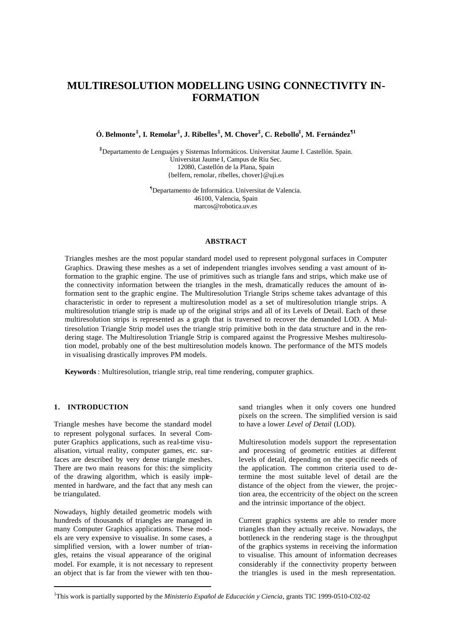# **MULTIRESOLUTION MODELLING USING CONNECTIVITY IN-FORMATION**

**Ó. Belmonte‡ , I. Remolar‡ , J. Ribelles‡ , M. Chover‡ , C. Rebollo‡ , M. Fernández¶1**

**‡**Departamento de Lenguajes y Sistemas Informáticos. Universitat Jaume I. Castellón. Spain. Universitat Jaume I, Campus de Riu Sec. 12080, Castellón de la Plana, Spain {belfern, remolar, ribelles, chover}@uji.es

> ¶Departamento de Informática. Universitat de Valencia. 46100, Valencia, Spain marcos@robotica.uv.es

#### **ABSTRACT**

Triangles meshes are the most popular standard model used to represent polygonal surfaces in Computer Graphics. Drawing these meshes as a set of independent triangles involves sending a vast amount of information to the graphic engine. The use of primitives such as triangle fans and strips, which make use of the connectivity information between the triangles in the mesh, dramatically reduces the amount of information sent to the graphic engine. The Multiresolution Triangle Strips scheme takes advantage of this characteristic in order to represent a multiresolution model as a set of multiresolution triangle strips. A multiresolution triangle strip is made up of the original strips and all of its Levels of Detail. Each of these multiresolution strips is represented as a graph that is traversed to recover the demanded LOD. A Multiresolution Triangle Strip model uses the triangle strip primitive both in the data structure and in the rendering stage. The Multiresolution Triangle Strip is compared against the Progressive Meshes multiresolution model, probably one of the best multiresolution models known. The performance of the MTS models in visualising drastically improves PM models.

**Keywords** : Multiresolution, triangle strip, real time rendering, computer graphics.

#### **1. INTRODUCTION**

Triangle meshes have become the standard model to represent polygonal surfaces. In several Computer Graphics applications, such as real-time visualisation, virtual reality, computer games, etc. surfaces are described by very dense triangle meshes. There are two main reasons for this: the simplicity of the drawing algorithm, which is easily implemented in hardware, and the fact that any mesh can be triangulated.

Nowadays, highly detailed geometric models with hundreds of thousands of triangles are managed in many Computer Graphics applications. These models are very expensive to visualise. In some cases, a simplified version, with a lower number of triangles, retains the visual appearance of the original model. For example, it is not necessary to represent an object that is far from the viewer with ten thousand triangles when it only covers one hundred pixels on the screen. The simplified version is said to have a lower *Level of Detail* (LOD).

Multiresolution models support the representation and processing of geometric entities at different levels of detail, depending on the specific needs of the application. The common criteria used to determine the most suitable level of detail are the distance of the object from the viewer, the projection area, the eccentricity of the object on the screen and the intrinsic importance of the object.

Current graphics systems are able to render more triangles than they actually receive. Nowadays, the bottleneck in the rendering stage is the throughput of the graphics systems in receiving the information to visualise. This amount of information decreases considerably if the connectivity property between the triangles is used in the mesh representation.

<sup>1</sup>This work is partially supported by the *Ministerio Español de Educación y Ciencia*, grants TIC 1999-0510-C02-02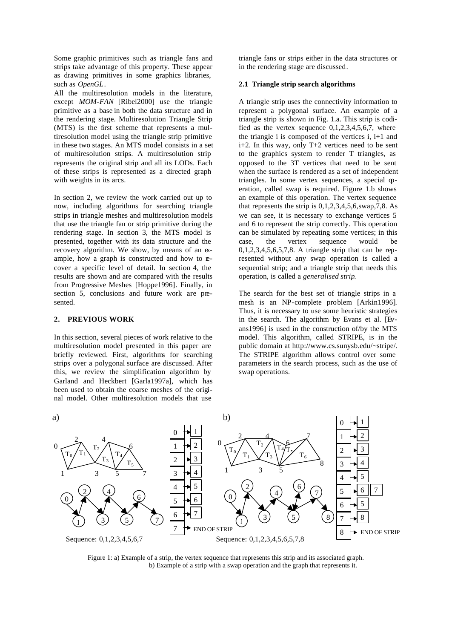Some graphic primitives such as triangle fans and strips take advantage of this property. These appear as drawing primitives in some graphics libraries, such as *OpenGL*.

All the multiresolution models in the literature, except *MOM-FAN* [Ribel2000] use the triangle primitive as a base in both the data structure and in the rendering stage. Multiresolution Triangle Strip (MTS) is the first scheme that represents a multiresolution model using the triangle strip primitive in these two stages. An MTS model consists in a set of multiresolution strips. A multiresolution strip represents the original strip and all its LODs. Each of these strips is represented as a directed graph with weights in its arcs.

In section 2, we review the work carried out up to now, including algorithms for searching triangle strips in triangle meshes and multiresolution models that use the triangle fan or strip primitive during the rendering stage. In section 3, the MTS model is presented, together with its data structure and the recovery algorithm. We show, by means of an example, how a graph is constructed and how to **e**cover a specific level of detail. In section 4, the results are shown and are compared with the results from Progressive Meshes [Hoppe1996]. Finally, in section 5, conclusions and future work are presented.

## **2. PREVIOUS WORK**

In this section, several pieces of work relative to the multiresolution model presented in this paper are briefly reviewed. First, algorithms for searching strips over a polygonal surface are discussed. After this, we review the simplification algorithm by Garland and Heckbert [Garla1997a], which has been used to obtain the coarse meshes of the original model. Other multiresolution models that use

triangle fans or strips either in the data structures or in the rendering stage are discussed.

#### **2.1 Triangle strip search algorithms**

A triangle strip uses the connectivity information to represent a polygonal surface. An example of a triangle strip is shown in Fig. 1.a. This strip is codified as the vertex sequence  $0,1,2,3,4,5,6,7$ , where the triangle i is composed of the vertices i, i+1 and i+2. In this way, only T+2 vertices need to be sent to the graphics system to render T triangles, as opposed to the 3T vertices that need to be sent when the surface is rendered as a set of independent triangles. In some vertex sequences, a special operation, called swap is required. Figure 1.b shows an example of this operation. The vertex sequence that represents the strip is  $0.1, 2.3, 4.5, 6$ , swap, 7,8. As we can see, it is necessary to exchange vertices 5 and 6 to represent the strip correctly. This operation can be simulated by repeating some vertices; in this case, the vertex sequence would be 0,1,2,3,4,5,6,5,7,8. A triangle strip that can be represented without any swap operation is called a sequential strip; and a triangle strip that needs this operation, is called a *generalised strip*.

The search for the best set of triangle strips in a mesh is an NP-complete problem [Arkin1996]. Thus, it is necessary to use some heuristic strategies in the search. The algorithm by Evans et al. [Evans1996] is used in the construction of/by the MTS model. This algorithm, called STRIPE, is in the public domain at http://www.cs.sunysb.edu/~stripe/. The STRIPE algorithm allows control over some parameters in the search process, such as the use of swap operations.



Figure 1: a) Example of a strip, the vertex sequence that represents this strip and its associated graph. b) Example of a strip with a swap operation and the graph that represents it.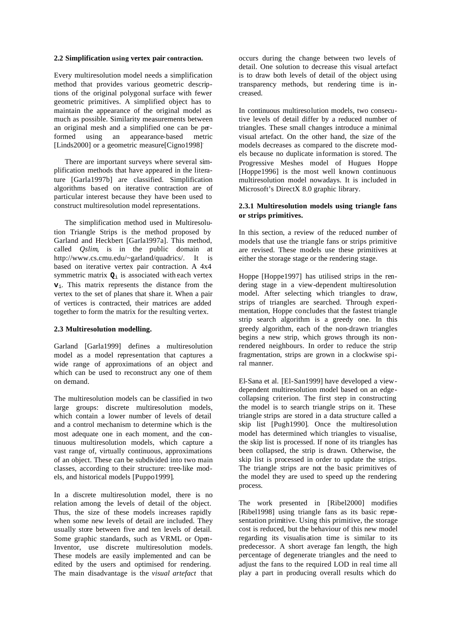#### **2.2 Simplification using vertex pair contraction.**

Every multiresolution model needs a simplification method that provides various geometric descriptions of the original polygonal surface with fewer geometric primitives. A simplified object has to maintain the appearance of the original model as much as possible. Similarity measurements between an original mesh and a simplified one can be performed using an appearance-based metric [Linds2000] or a geometric measure[Cigno1998]<sup>.</sup>

There are important surveys where several simplification methods that have appeared in the literature [Garla1997b] are classified. Simplification algorithms based on iterative contraction are of particular interest because they have been used to construct multiresolution model representations.

The simplification method used in Multiresolution Triangle Strips is the method proposed by Garland and Heckbert [Garla1997a]. This method, called *Qslim*, is in the public domain at http://www.cs.cmu.edu/~garland/quadrics/. It is based on iterative vertex pair contraction. A 4x4 symmetric matrix **Q**i is associated with each vertex  $v_i$ . This matrix represents the distance from the vertex to the set of planes that share it. When a pair of vertices is contracted, their matrices are added together to form the matrix for the resulting vertex.

#### **2.3 Multiresolution modelling.**

Garland [Garla1999] defines a multiresolution model as a model representation that captures a wide range of approximations of an object and which can be used to reconstruct any one of them on demand.

The multiresolution models can be classified in two large groups: discrete multiresolution models, which contain a lower number of levels of detail and a control mechanism to determine which is the most adequate one in each moment, and the continuous multiresolution models, which capture a vast range of, virtually continuous, approximations of an object. These can be subdivided into two main classes, according to their structure: tree-like models, and historical models [Puppo1999].

In a discrete multiresolution model, there is no relation among the levels of detail of the object. Thus, the size of these models increases rapidly when some new levels of detail are included. They usually store between five and ten levels of detail. Some graphic standards, such as VRML or Open-Inventor, use discrete multiresolution models. These models are easily implemented and can be edited by the users and optimised for rendering. The main disadvantage is the *visual artefact* that occurs during the change between two levels of detail. One solution to decrease this visual artefact is to draw both levels of detail of the object using transparency methods, but rendering time is increased.

In continuous multiresolution models, two consecutive levels of detail differ by a reduced number of triangles. These small changes introduce a minimal visual artefact. On the other hand, the size of the models decreases as compared to the discrete models because no duplicate information is stored. The Progressive Meshes model of Hugues Hoppe [Hoppe1996] is the most well known continuous multiresolution model nowadays. It is included in Microsoft's DirectX 8.0 graphic library.

## **2.3.1 Multiresolution models using triangle fans or strips primitives.**

In this section, a review of the reduced number of models that use the triangle fans or strips primitive are revised. These models use these primitives at either the storage stage or the rendering stage.

Hoppe [Hoppe1997] has utilised strips in the rendering stage in a view-dependent multiresolution model. After selecting which triangles to draw, strips of triangles are searched. Through experimentation, Hoppe concludes that the fastest triangle strip search algorithm is a greedy one. In this greedy algorithm, each of the non-drawn triangles begins a new strip, which grows through its nonrendered neighbours. In order to reduce the strip fragmentation, strips are grown in a clockwise spiral manner.

El-Sana et al. [El-San1999] have developed a viewdependent multiresolution model based on an edgecollapsing criterion. The first step in constructing the model is to search triangle strips on it. These triangle strips are stored in a data structure called a skip list [Pugh1990]. Once the multiresolution model has determined which triangles to visualise, the skip list is processed. If none of its triangles has been collapsed, the strip is drawn. Otherwise, the skip list is processed in order to update the strips. The triangle strips are not the basic primitives of the model they are used to speed up the rendering process.

The work presented in [Ribel2000] modifies [Ribel1998] using triangle fans as its basic representation primitive. Using this primitive, the storage cost is reduced, but the behaviour of this new model regarding its visualis ation time is similar to its predecessor. A short average fan length, the high percentage of degenerate triangles and the need to adjust the fans to the required LOD in real time all play a part in producing overall results which do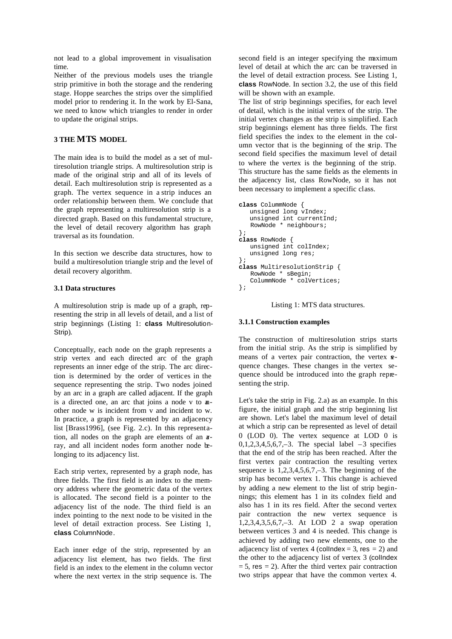not lead to a global improvement in visualisation time.

Neither of the previous models uses the triangle strip primitive in both the storage and the rendering stage. Hoppe searches the strips over the simplified model prior to rendering it. In the work by El-Sana, we need to know which triangles to render in order to update the original strips.

## **3 THE MTS MODEL**

The main idea is to build the model as a set of multiresolution triangle strips. A multiresolution strip is made of the original strip and all of its levels of detail. Each multiresolution strip is represented as a graph. The vertex sequence in a strip induces an order relationship between them. We conclude that the graph representing a multiresolution strip is a directed graph. Based on this fundamental structure, the level of detail recovery algorithm has graph traversal as its foundation.

In this section we describe data structures, how to build a multiresolution triangle strip and the level of detail recovery algorithm.

## **3.1 Data structures**

A multiresolution strip is made up of a graph, representing the strip in all levels of detail, and a list of strip beginnings (Listing 1: **class** Multiresolution-Strip).

Conceptually, each node on the graph represents a strip vertex and each directed arc of the graph represents an inner edge of the strip. The arc direction is determined by the order of vertices in the sequence representing the strip. Two nodes joined by an arc in a graph are called adjacent. If the graph is a directed one, an arc that joins a node v to another node w is incident from v and incident to w. In practice, a graph is represented by an adjacency list [Brass1996], (see Fig. 2.c). In this representation, all nodes on the graph are elements of an array, and all incident nodes form another node belonging to its adjacency list.

Each strip vertex, represented by a graph node, has three fields. The first field is an index to the memory address where the geometric data of the vertex is allocated. The second field is a pointer to the adjacency list of the node. The third field is an index pointing to the next node to be visited in the level of detail extraction process. See Listing 1, **class** ColumnNode.

Each inner edge of the strip, represented by an adjacency list element, has two fields. The first field is an index to the element in the column vector where the next vertex in the strip sequence is. The

second field is an integer specifying the maximum level of detail at which the arc can be traversed in the level of detail extraction process. See Listing 1, **class** RowNode. In section 3.2, the use of this field will be shown with an example.

The list of strip beginnings specifies, for each level of detail, which is the initial vertex of the strip. The initial vertex changes as the strip is simplified. Each strip beginnings element has three fields. The first field specifies the index to the element in the column vector that is the beginning of the strip. The second field specifies the maximum level of detail to where the vertex is the beginning of the strip. This structure has the same fields as the elements in the adjacency list, class RowNode, so it has not been necessary to implement a specific class.

```
class ColummNode {
    unsigned long vIndex;
   unsigned int currentInd;
    RowNode * neighbours;
};
class RowNode {
    unsigned int colIndex;
    unsigned long res;
};
class MultiresolutionStrip {
    RowNode * sBegin;
    ColummNode * colVertices;
};
```
Listing 1: MTS data structures.

## **3.1.1 Construction examples**

The construction of multiresolution strips starts from the initial strip. As the strip is simplified by means of a vertex pair contraction, the vertex  $\mathbf{r}$ quence changes. These changes in the vertex sequence should be introduced into the graph representing the strip.

Let's take the strip in Fig. 2.a) as an example. In this figure, the initial graph and the strip beginning list are shown. Let's label the maximum level of detail at which a strip can be represented as level of detail 0 (LOD 0). The vertex sequence at LOD 0 is  $0,1,2,3,4,5,6,7,-3$ . The special label  $-3$  specifies that the end of the strip has been reached. After the first vertex pair contraction the resulting vertex sequence is  $1,2,3,4,5,6,7,-3$ . The beginning of the strip has become vertex 1. This change is achieved by adding a new element to the list of strip beginnings; this element has 1 in its coIndex field and also has 1 in its res field. After the second vertex pair contraction the new vertex sequence is  $1,2,3,4,3,5,6,7,-3$ . At LOD 2 a swap operation between vertices 3 and 4 is needed. This change is achieved by adding two new elements, one to the adjacency list of vertex 4 (collndex = 3, res = 2) and the other to the adjacency list of vertex 3 (colIndex  $= 5$ , res  $= 2$ ). After the third vertex pair contraction two strips appear that have the common vertex 4.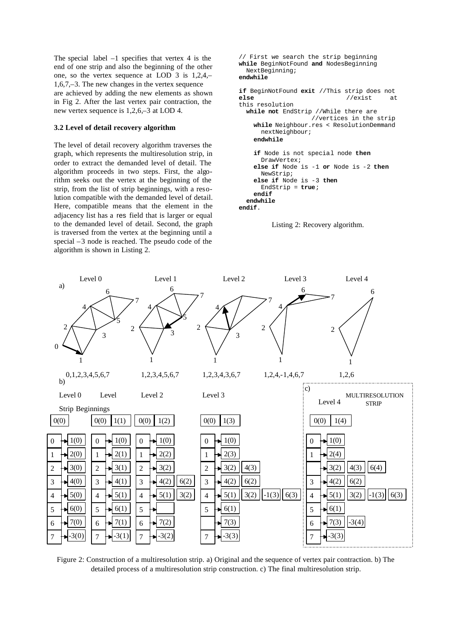The special label  $-1$  specifies that vertex 4 is the end of one strip and also the beginning of the other one, so the vertex sequence at LOD 3 is 1,2,4,– 1,6,7,–3. The new changes in the vertex sequence are achieved by adding the new elements as shown in Fig 2. After the last vertex pair contraction, the new vertex sequence is 1,2,6,–3 at LOD 4.

#### **3.2 Level of detail recovery algorithm**

The level of detail recovery algorithm traverses the graph, which represents the multiresolution strip, in order to extract the demanded level of detail. The algorithm proceeds in two steps. First, the algorithm seeks out the vertex at the beginning of the strip, from the list of strip beginnings, with a resolution compatible with the demanded level of detail. Here, compatible means that the element in the adjacency list has a res field that is larger or equal to the demanded level of detail. Second, the graph is traversed from the vertex at the beginning until a special –3 node is reached. The pseudo code of the algorithm is shown in Listing 2.

```
// First we search the strip beginning
while BeginNotFound and NodesBeginning
  NextBeginning;
endwhile
if BeginNotFound exit //This strip does not
else //exist at
this resolution
   while not EndStrip //While there are
                     //vertices in the strip
     while Neighbour.res < ResolutionDemmand
      nextNeighbour;
     endwhile
     if Node is not special node then
       DrawVertex;
     else if Node is -1 or Node is -2 then
       NewStrip;
     else if Node is -3 then
       EndStrip = true;
     endif
   endwhile
endif.
```






Figure 2: Construction of a multiresolution strip. a) Original and the sequence of vertex pair contraction. b) The detailed process of a multiresolution strip construction. c) The final multiresolution strip.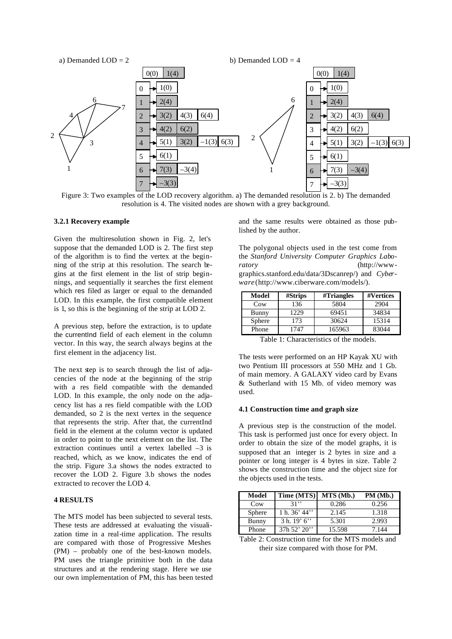

Figure 3: Two examples of the LOD recovery algorithm. a) The demanded resolution is 2. b) The demanded resolution is 4. The visited nodes are shown with a grey background.

#### **3.2.1 Recovery example**

Given the multiresolution shown in Fig. 2, let's suppose that the demanded LOD is 2. The first step of the algorithm is to find the vertex at the beginning of the strip at this resolution. The search begins at the first element in the list of strip beginnings, and sequentially it searches the first element which res filed as larger or equal to the demanded LOD. In this example, the first compatible element is 1, so this is the beginning of the strip at LOD 2.

A previous step, before the extraction, is to update the currentInd field of each element in the column vector. In this way, the search always begins at the first element in the adjacency list.

The next step is to search through the list of adjacencies of the node at the beginning of the strip with a res field compatible with the demanded LOD. In this example, the only node on the adjacency list has a res field compatible with the LOD demanded, so 2 is the next vertex in the sequence that represents the strip. After that, the currentInd field in the element at the column vector is updated in order to point to the next element on the list. The extraction continues until a vertex labelled –3 is reached, which, as we know, indicates the end of the strip. Figure 3.a shows the nodes extracted to recover the LOD 2. Figure 3.b shows the nodes extracted to recover the LOD 4.

#### **4 RESULTS**

The MTS model has been subjected to several tests. These tests are addressed at evaluating the visualization time in a real-time application. The results are compared with those of Progressive Meshes (PM) – probably one of the best-known models. PM uses the triangle primitive both in the data structures and at the rendering stage. Here we use our own implementation of PM, this has been tested and the same results were obtained as those published by the author.

The polygonal objects used in the test come from the *Stanford University Computer Graphics Laboratory* (http://wwwgraphics.stanford.edu/data/3Dscanrep/) and *Cyberware* (http://www.ciberware.com/models/).

| Model         | #Strips | #Triangle | #Vertices |
|---------------|---------|-----------|-----------|
| Cow           | 136     | 5804      | 2904      |
| Bunny         | 1229    | 69451     | 34834     |
| <b>Sphere</b> | 173     | 30624     | 15314     |
| Phone         | 1747    | 165963    | 83044     |

Table 1: Characteristics of the models.

The tests were performed on an HP Kayak XU with two Pentium III processors at 550 MHz and 1 Gb. of main memory. A GALAXY video card by Evans & Sutherland with 15 Mb. of video memory was used.

#### **4.1 Construction time and graph size**

A previous step is the construction of the model. This task is performed just once for every object. In order to obtain the size of the model graphs, it is supposed that an integer is 2 bytes in size and a pointer or long integer is 4 bytes in size. Table 2 shows the construction time and the object size for the objects used in the tests.

| Model           | Time (MTS)      | MTS (Mb.) | PM (Mb.) |
|-----------------|-----------------|-----------|----------|
| C <sub>ow</sub> | 31"             | 0.286     | 0.256    |
| Sphere          | 1 h. $36'$ 44'' | 2.145     | 1.318    |
| Bunny           | 3 h. 19' 6''    | 5.301     | 2.993    |
| Phone           | 37h 52' 20'     | 15.598    | 7.144    |

Table 2: Construction time for the MTS models and their size compared with those for PM.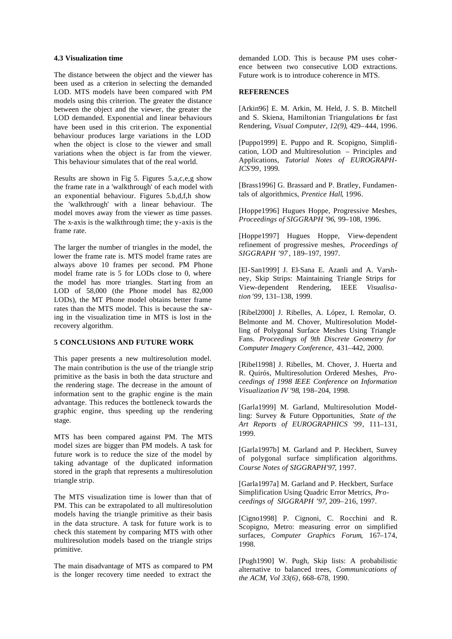#### **4.3 Visualization time**

The distance between the object and the viewer has been used as a criterion in selecting the demanded LOD. MTS models have been compared with PM models using this criterion. The greater the distance between the object and the viewer, the greater the LOD demanded. Exponential and linear behaviours have been used in this crit erion. The exponential behaviour produces large variations in the LOD when the object is close to the viewer and small variations when the object is far from the viewer. This behaviour simulates that of the real world.

Results are shown in Fig 5. Figures 5.a,c,e,g show the frame rate in a 'walkthrough' of each model with an exponential behaviour. Figures 5.b,d,f,h show the 'walkthrough' with a linear behaviour. The model moves away from the viewer as time passes. The x-axis is the walkthrough time; the y-axis is the frame rate.

The larger the number of triangles in the model, the lower the frame rate is. MTS model frame rates are always above 10 frames per second. PM Phone model frame rate is 5 for LODs close to 0, where the model has more triangles. Start ing from an LOD of 58,000 (the Phone model has 82,000 LODs), the MT Phone model obtains better frame rates than the MTS model. This is because the saving in the visualization time in MTS is lost in the recovery algorithm.

#### **5 CONCLUSIONS AND FUTURE WORK**

This paper presents a new multiresolution model. The main contribution is the use of the triangle strip primitive as the basis in both the data structure and the rendering stage. The decrease in the amount of information sent to the graphic engine is the main advantage. This reduces the bottleneck towards the graphic engine, thus speeding up the rendering stage.

MTS has been compared against PM. The MTS model sizes are bigger than PM models. A task for future work is to reduce the size of the model by taking advantage of the duplicated information stored in the graph that represents a multiresolution triangle strip.

The MTS visualization time is lower than that of PM. This can be extrapolated to all multiresolution models having the triangle primitive as their basis in the data structure. A task for future work is to check this statement by comparing MTS with other multiresolution models based on the triangle strips primitive.

The main disadvantage of MTS as compared to PM is the longer recovery time needed to extract the

demanded LOD. This is because PM uses coherence between two consecutive LOD extractions. Future work is to introduce coherence in MTS.

#### **REFERENCES**

[Arkin96] E. M. Arkin, M. Held, J. S. B. Mitchell and S. Skiena, Hamiltonian Triangulations for fast Rendering, *Visual Computer, 12(9)*, 429–444, 1996.

[Puppo1999] E. Puppo and R. Scopigno, Simplification, LOD and Multiresolution – Principles and Applications, *Tutorial Notes of EUROGRAPH-ICS'99*, 1999.

[Brass1996] G. Brassard and P. Bratley, Fundamentals of algorithmics, *Prentice Hall*, 1996.

[Hoppe1996] Hugues Hoppe, Progressive Meshes, *Proceedings of SIGGRAPH '96*, 99–108, 1996.

[Hoppe1997] Hugues Hoppe, View-dependent refinement of progressive meshes, *Proceedings of SIGGRAPH '97* , 189–197, 1997.

[El-San1999] J. El-Sana E. Azanli and A. Varshney, Skip Strips: Maintaining Triangle Strips for View-dependent Rendering, IEEE *Visualisation '99,* 131–138, 1999.

[Ribel2000] J. Ribelles, A. López, I. Remolar, O. Belmonte and M. Chover, Multiresolution Modelling of Polygonal Surface Meshes Using Triangle Fans. *Proceedings of 9th Discrete Geometry for Computer Imagery Conference,* 431–442, 2000.

[Ribel1998] J. Ribelles, M. Chover, J. Huerta and R. Quirós, Multiresolution Ordered Meshes, *Proceedings of 1998 IEEE Conference on Information Visualization IV '98*, 198–204, 1998.

[Garla1999] M. Garland, Multiresolution Modelling: Survey & Future Opportunities, *State of the Art Reports of EUROGRAPHICS '99*, 111–131, 1999.

[Garla1997b] M. Garland and P. Heckbert, Survey of polygonal surface simplification algorithms. *Course Notes of SIGGRAPH'97*, 1997.

[Garla1997a] M. Garland and P. Heckbert, Surface Simplification Using Quadric Error Metrics, *Proceedings of SIGGRAPH '97*, 209–216, 1997.

[Cigno1998] P. Cignoni, C. Rocchini and R. Scopigno, Metro: measuring error on simplified surfaces, *Computer Graphics Forum*, 167–174, 1998.

[Pugh1990] W. Pugh, Skip lists: A probabilistic alternative to balanced trees, *Communications of the ACM, Vol 33(6)*, 668–678, 1990.